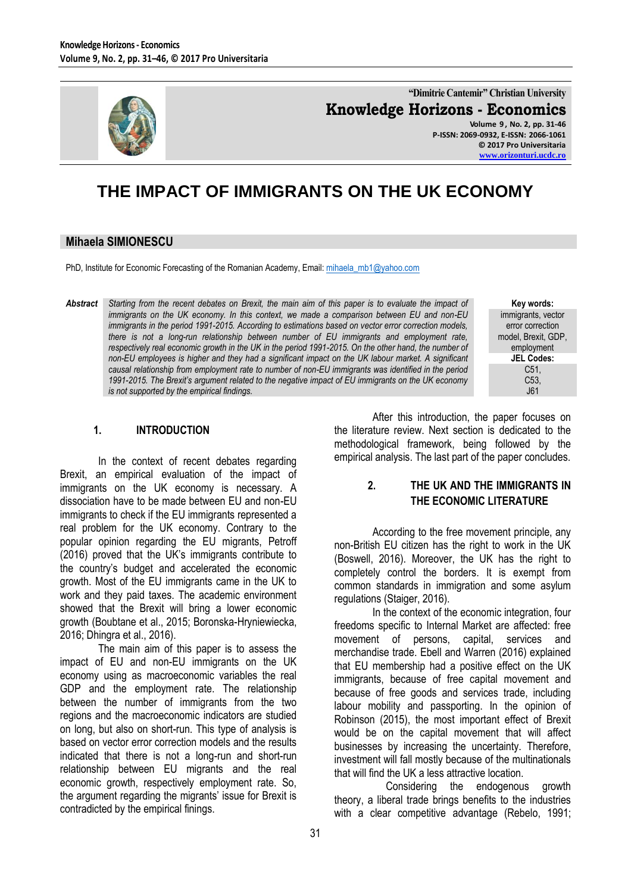

**"Dimitrie Cantemir" Christian University Knowledge Horizons - Economics Volume 9 , No. 2, pp. 31-46**

**P-ISSN: 2069-0932, E-ISSN: 2066-1061 © 2017 Pro Universitaria [www.orizonturi.ucdc.ro](http://www.orizonturi.ucdc.ro/)**

# **THE IMPACT OF IMMIGRANTS ON THE UK ECONOMY**

## **Mihaela SIMIONESCU**

PhD, Institute for Economic Forecasting of the Romanian Academy, Email: [mihaela\\_mb1@yahoo.com](mailto:mihaela_mb1@yahoo.com)

*Abstract Starting from the recent debates on Brexit, the main aim of this paper is to evaluate the impact of immigrants on the UK economy. In this context, we made a comparison between EU and non-EU immigrants in the period 1991-2015. According to estimations based on vector error correction models, there is not a long-run relationship between number of EU immigrants and employment rate, respectively real economic growth in the UK in the period 1991-2015. On the other hand, the number of non-EU employees is higher and they had a significant impact on the UK labour market. A significant causal relationship from employment rate to number of non-EU immigrants was identified in the period 1991-2015. The Brexit's argument related to the negative impact of EU immigrants on the UK economy is not supported by the empirical findings.*

**Key words:** immigrants, vector error correction model, Brexit, GDP, employment **JEL Codes:** C51, C53, J61

## **1. INTRODUCTION**

In the context of recent debates regarding Brexit, an empirical evaluation of the impact of immigrants on the UK economy is necessary. A dissociation have to be made between EU and non-EU immigrants to check if the EU immigrants represented a real problem for the UK economy. Contrary to the popular opinion regarding the EU migrants, Petroff (2016) proved that the UK's immigrants contribute to the country's budget and accelerated the economic growth. Most of the EU immigrants came in the UK to work and they paid taxes. The academic environment showed that the Brexit will bring a lower economic growth (Boubtane et al., 2015; Boronska-Hryniewiecka, 2016; Dhingra et al., 2016).

The main aim of this paper is to assess the impact of EU and non-EU immigrants on the UK economy using as macroeconomic variables the real GDP and the employment rate. The relationship between the number of immigrants from the two regions and the macroeconomic indicators are studied on long, but also on short-run. This type of analysis is based on vector error correction models and the results indicated that there is not a long-run and short-run relationship between EU migrants and the real economic growth, respectively employment rate. So, the argument regarding the migrants' issue for Brexit is contradicted by the empirical finings.

After this introduction, the paper focuses on the literature review. Next section is dedicated to the methodological framework, being followed by the empirical analysis. The last part of the paper concludes.

## **2. THE UK AND THE IMMIGRANTS IN THE ECONOMIC LITERATURE**

According to the free movement principle, any non-British EU citizen has the right to work in the UK (Boswell, 2016). Moreover, the UK has the right to completely control the borders. It is exempt from common standards in immigration and some asylum regulations (Staiger, 2016).

In the context of the economic integration, four freedoms specific to Internal Market are affected: free movement of persons, capital, services and merchandise trade. Ebell and Warren (2016) explained that EU membership had a positive effect on the UK immigrants, because of free capital movement and because of free goods and services trade, including labour mobility and passporting. In the opinion of Robinson (2015), the most important effect of Brexit would be on the capital movement that will affect businesses by increasing the uncertainty. Therefore, investment will fall mostly because of the multinationals that will find the UK a less attractive location.

 Considering the endogenous growth theory, a liberal trade brings benefits to the industries with a clear competitive advantage (Rebelo, 1991;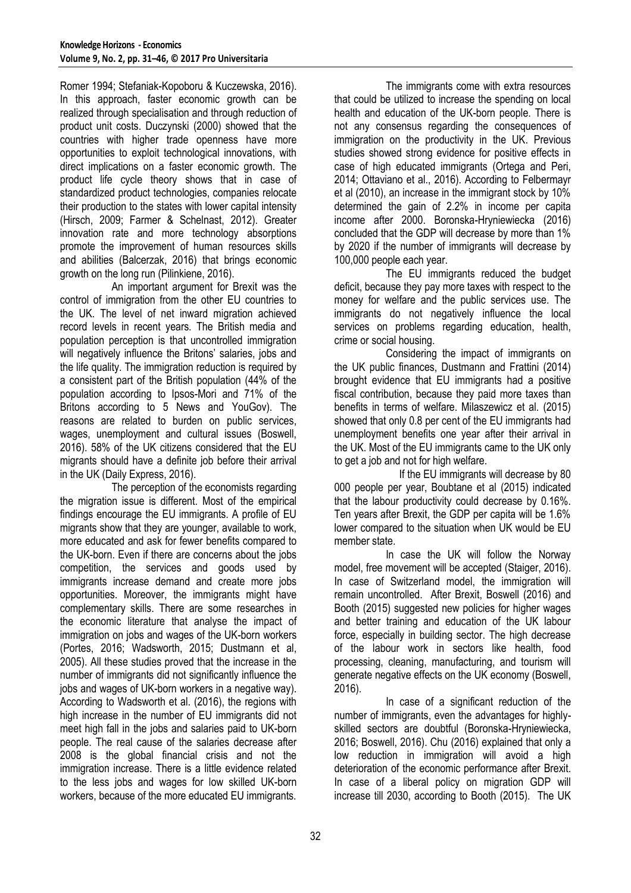Romer 1994; Stefaniak-Kopoboru & Kuczewska, 2016). In this approach, faster economic growth can be realized through specialisation and through reduction of product unit costs. Duczynski (2000) showed that the countries with higher trade openness have more opportunities to exploit technological innovations, with direct implications on a faster economic growth. The product life cycle theory shows that in case of standardized product technologies, companies relocate their production to the states with lower capital intensity (Hirsch, 2009; Farmer & Schelnast, 2012). Greater innovation rate and more technology absorptions promote the improvement of human resources skills and abilities (Balcerzak, 2016) that brings economic growth on the long run (Pilinkiene, 2016).

 An important argument for Brexit was the control of immigration from the other EU countries to the UK. The level of net inward migration achieved record levels in recent years. The British media and population perception is that uncontrolled immigration will negatively influence the Britons' salaries, jobs and the life quality. The immigration reduction is required by a consistent part of the British population (44% of the population according to Ipsos-Mori and 71% of the Britons according to 5 News and YouGov). The reasons are related to burden on public services, wages, unemployment and cultural issues (Boswell, 2016). 58% of the UK citizens considered that the EU migrants should have a definite job before their arrival in the UK (Daily Express, 2016).

 The perception of the economists regarding the migration issue is different. Most of the empirical findings encourage the EU immigrants. A profile of EU migrants show that they are younger, available to work, more educated and ask for fewer benefits compared to the UK-born. Even if there are concerns about the jobs competition, the services and goods used by immigrants increase demand and create more jobs opportunities. Moreover, the immigrants might have complementary skills. There are some researches in the economic literature that analyse the impact of immigration on jobs and wages of the UK-born workers (Portes, 2016; Wadsworth, 2015; Dustmann et al, 2005). All these studies proved that the increase in the number of immigrants did not significantly influence the jobs and wages of UK-born workers in a negative way). According to Wadsworth et al. (2016), the regions with high increase in the number of EU immigrants did not meet high fall in the jobs and salaries paid to UK-born people. The real cause of the salaries decrease after 2008 is the global financial crisis and not the immigration increase. There is a little evidence related to the less jobs and wages for low skilled UK-born workers, because of the more educated EU immigrants.

 The immigrants come with extra resources that could be utilized to increase the spending on local health and education of the UK-born people. There is not any consensus regarding the consequences of immigration on the productivity in the UK. Previous studies showed strong evidence for positive effects in case of high educated immigrants (Ortega and Peri, 2014; Ottaviano et al., 2016). According to Felbermayr et al (2010), an increase in the immigrant stock by 10% determined the gain of 2.2% in income per capita income after 2000. Boronska-Hryniewiecka (2016) concluded that the GDP will decrease by more than 1% by 2020 if the number of immigrants will decrease by 100,000 people each year.

 The EU immigrants reduced the budget deficit, because they pay more taxes with respect to the money for welfare and the public services use. The immigrants do not negatively influence the local services on problems regarding education, health, crime or social housing.

 Considering the impact of immigrants on the UK public finances, Dustmann and Frattini (2014) brought evidence that EU immigrants had a positive fiscal contribution, because they paid more taxes than benefits in terms of welfare. Milaszewicz et al. (2015) showed that only 0.8 per cent of the EU immigrants had unemployment benefits one year after their arrival in the UK. Most of the EU immigrants came to the UK only to get a job and not for high welfare.

 If the EU immigrants will decrease by 80 000 people per year, Boubtane et al (2015) indicated that the labour productivity could decrease by 0.16%. Ten years after Brexit, the GDP per capita will be 1.6% lower compared to the situation when UK would be EU member state.

 In case the UK will follow the Norway model, free movement will be accepted (Staiger, 2016). In case of Switzerland model, the immigration will remain uncontrolled. After Brexit, Boswell (2016) and Booth (2015) suggested new policies for higher wages and better training and education of the UK labour force, especially in building sector. The high decrease of the labour work in sectors like health, food processing, cleaning, manufacturing, and tourism will generate negative effects on the UK economy (Boswell, 2016).

 In case of a significant reduction of the number of immigrants, even the advantages for highlyskilled sectors are doubtful (Boronska-Hryniewiecka, 2016; Boswell, 2016). Chu (2016) explained that only a low reduction in immigration will avoid a high deterioration of the economic performance after Brexit. In case of a liberal policy on migration GDP will increase till 2030, according to Booth (2015). The UK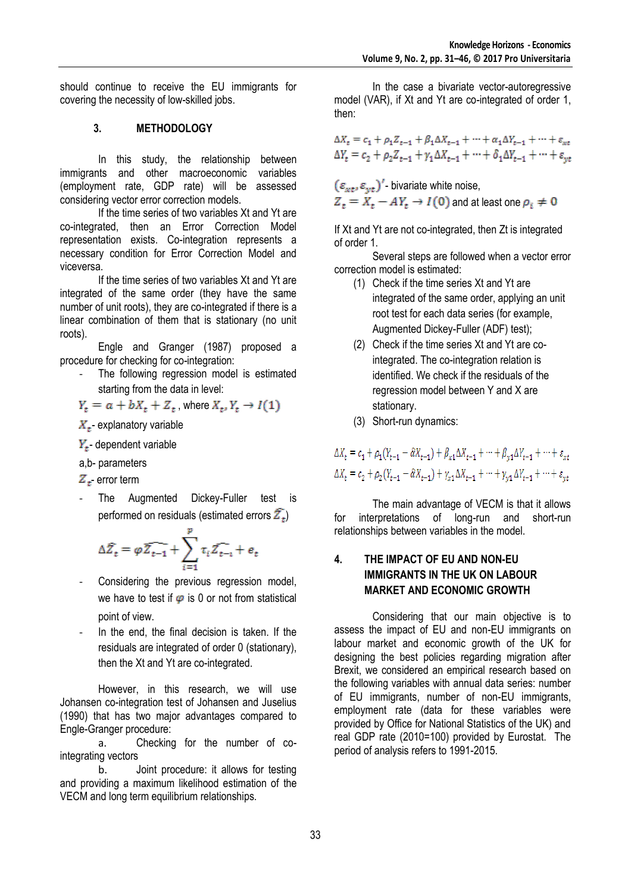should continue to receive the EU immigrants for covering the necessity of low-skilled jobs.

## **3. METHODOLOGY**

In this study, the relationship between immigrants and other macroeconomic variables (employment rate, GDP rate) will be assessed considering vector error correction models.

If the time series of two variables Xt and Yt are co-integrated, then an Error Correction Model representation exists. Co-integration represents a necessary condition for Error Correction Model and viceversa.

If the time series of two variables Xt and Yt are integrated of the same order (they have the same number of unit roots), they are co-integrated if there is a linear combination of them that is stationary (no unit roots).

Engle and Granger (1987) proposed a procedure for checking for co-integration:

The following regression model is estimated starting from the data in level:

 $Y_t = a + bX_t + Z_t$ , where  $X_t, Y_t \rightarrow I(1)$ 

 $X_{+}$  explanatory variable

 $Y_t$ - dependent variable

a,b- parameters

 $Z_{t}$ - error term

The Augmented Dickey-Fuller test is performed on residuals (estimated errors  $\overline{Z_t}$ )

$$
\Delta \widehat{Z}_t = \varphi \widehat{Z_{t-1}} + \sum_{i=1}^p \tau_i \widehat{Z_{t-i}} + e_t
$$

- Considering the previous regression model, we have to test if  $\varphi$  is 0 or not from statistical point of view.
- In the end, the final decision is taken. If the residuals are integrated of order 0 (stationary), then the Xt and Yt are co-integrated.

However, in this research, we will use Johansen co-integration test of Johansen and Juselius (1990) that has two major advantages compared to Engle-Granger procedure:

a. Checking for the number of cointegrating vectors

b. Joint procedure: it allows for testing and providing a maximum likelihood estimation of the VECM and long term equilibrium relationships.

In the case a bivariate vector-autoregressive model (VAR), if Xt and Yt are co-integrated of order 1, then:

 $\Delta X_t = c_1 + \rho_1 Z_{t-1} + \beta_1 \Delta X_{t-1} + \dots + \alpha_1 \Delta Y_{t-1} + \dots + \varepsilon_{xt}$  $\Delta Y_t = c_2 + \rho_2 Z_{t-1} + \gamma_1 \Delta X_{t-1} + \dots + \delta_1 \Delta Y_{t-1} + \dots + \varepsilon_{vt}$ 

 $(\varepsilon_{xt}, \varepsilon_{vt})'$  bivariate white noise,  $Z_t = X_t - AY_t \rightarrow I(0)$  and at least one  $\rho_i \neq 0$ 

If Xt and Yt are not co-integrated, then Zt is integrated of order 1.

Several steps are followed when a vector error correction model is estimated:

- (1) Check if the time series Xt and Yt are integrated of the same order, applying an unit root test for each data series (for example, Augmented Dickey-Fuller (ADF) test);
- (2) Check if the time series Xt and Yt are cointegrated. The co-integration relation is identified. We check if the residuals of the regression model between Y and X are stationary.
- (3) Short-run dynamics:

 $\Delta X_t = c_1 + \rho_1 (Y_{t-1} - \hat{\alpha} X_{t-1}) + \beta_{x1} \Delta X_{t-1} + \dots + \beta_{y1} \Delta Y_{t-1} + \dots + \varepsilon_{xt}$  $\Delta X_t = c_2 + \rho_2 (Y_{t-1} - \hat{\alpha} X_{t-1}) + \gamma_{x1} \Delta X_{t-1} + \dots + \gamma_{v1} \Delta Y_{t-1} + \dots + \varepsilon_{vt}$ 

The main advantage of VECM is that it allows for interpretations of long-run and short-run relationships between variables in the model.

## **4. THE IMPACT OF EU AND NON-EU IMMIGRANTS IN THE UK ON LABOUR MARKET AND ECONOMIC GROWTH**

Considering that our main objective is to assess the impact of EU and non-EU immigrants on labour market and economic growth of the UK for designing the best policies regarding migration after Brexit, we considered an empirical research based on the following variables with annual data series: number of EU immigrants, number of non-EU immigrants, employment rate (data for these variables were provided by Office for National Statistics of the UK) and real GDP rate (2010=100) provided by Eurostat. The period of analysis refers to 1991-2015.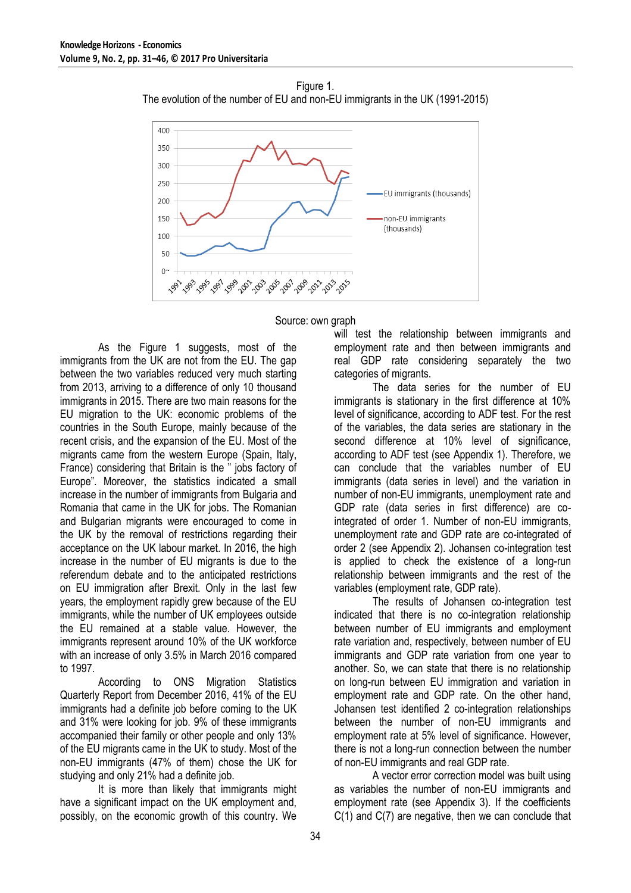



Source: own graph

As the Figure 1 suggests, most of the immigrants from the UK are not from the EU. The gap between the two variables reduced very much starting from 2013, arriving to a difference of only 10 thousand immigrants in 2015. There are two main reasons for the EU migration to the UK: economic problems of the countries in the South Europe, mainly because of the recent crisis, and the expansion of the EU. Most of the migrants came from the western Europe (Spain, Italy, France) considering that Britain is the " jobs factory of Europe". Moreover, the statistics indicated a small increase in the number of immigrants from Bulgaria and Romania that came in the UK for jobs. The Romanian and Bulgarian migrants were encouraged to come in the UK by the removal of restrictions regarding their acceptance on the UK labour market. In 2016, the high increase in the number of EU migrants is due to the referendum debate and to the anticipated restrictions on EU immigration after Brexit. Only in the last few years, the employment rapidly grew because of the EU immigrants, while the number of UK employees outside the EU remained at a stable value. However, the immigrants represent around 10% of the UK workforce with an increase of only 3.5% in March 2016 compared to 1997.

According to ONS Migration Statistics Quarterly Report from December 2016, 41% of the EU immigrants had a definite job before coming to the UK and 31% were looking for job. 9% of these immigrants accompanied their family or other people and only 13% of the EU migrants came in the UK to study. Most of the non-EU immigrants (47% of them) chose the UK for studying and only 21% had a definite job.

It is more than likely that immigrants might have a significant impact on the UK employment and, possibly, on the economic growth of this country. We

will test the relationship between immigrants and employment rate and then between immigrants and real GDP rate considering separately the two categories of migrants.

The data series for the number of EU immigrants is stationary in the first difference at 10% level of significance, according to ADF test. For the rest of the variables, the data series are stationary in the second difference at 10% level of significance, according to ADF test (see Appendix 1). Therefore, we can conclude that the variables number of EU immigrants (data series in level) and the variation in number of non-EU immigrants, unemployment rate and GDP rate (data series in first difference) are cointegrated of order 1. Number of non-EU immigrants, unemployment rate and GDP rate are co-integrated of order 2 (see Appendix 2). Johansen co-integration test is applied to check the existence of a long-run relationship between immigrants and the rest of the variables (employment rate, GDP rate).

The results of Johansen co-integration test indicated that there is no co-integration relationship between number of EU immigrants and employment rate variation and, respectively, between number of EU immigrants and GDP rate variation from one year to another. So, we can state that there is no relationship on long-run between EU immigration and variation in employment rate and GDP rate. On the other hand, Johansen test identified 2 co-integration relationships between the number of non-EU immigrants and employment rate at 5% level of significance. However, there is not a long-run connection between the number of non-EU immigrants and real GDP rate.

A vector error correction model was built using as variables the number of non-EU immigrants and employment rate (see Appendix 3). If the coefficients  $C(1)$  and  $C(7)$  are negative, then we can conclude that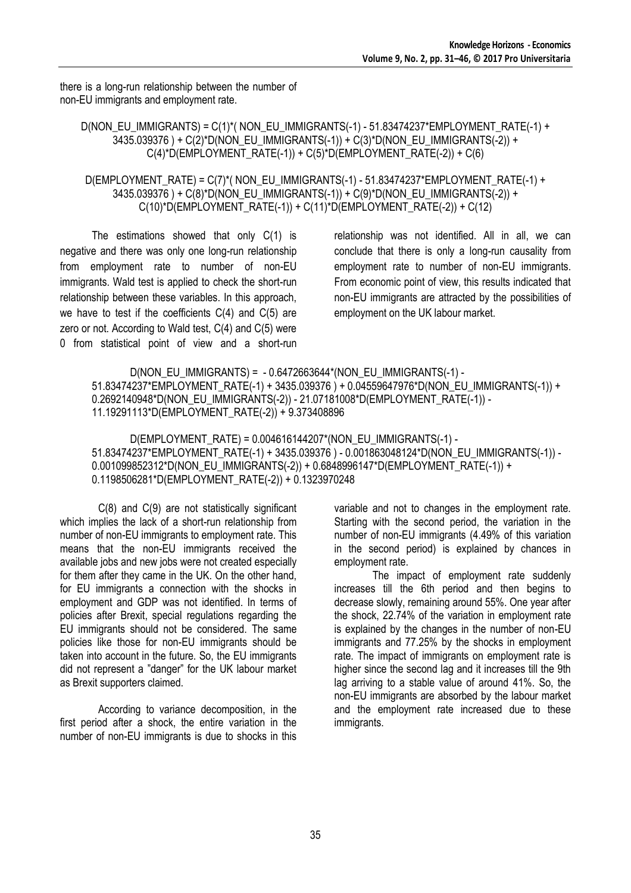there is a long-run relationship between the number of non-EU immigrants and employment rate.

D(NON\_EU\_IMMIGRANTS) = C(1)\*( NON\_EU\_IMMIGRANTS(-1) - 51.83474237\*EMPLOYMENT\_RATE(-1) + 3435.039376 ) + C(2)\*D(NON\_EU\_IMMIGRANTS(-1)) + C(3)\*D(NON\_EU\_IMMIGRANTS(-2)) +  $C(4)^*D(EMPLOYMENT_RATE(-1)) + C(5)^*D(EMPLOYMENT_RATE(-2)) + C(6)$ 

D(EMPLOYMENT\_RATE) =  $C(7)^*(NON$  EU\_IMMIGRANTS(-1) - 51.83474237\*EMPLOYMENT\_RATE(-1) + 3435.039376 ) + C(8)\*D(NON\_EU\_IMMIGRANTS(-1)) + C(9)\*D(NON\_EU\_IMMIGRANTS(-2)) + C(10)\*D(EMPLOYMENT\_RATE(-1)) + C(11)\*D(EMPLOYMENT\_RATE(-2)) + C(12)

The estimations showed that only C(1) is negative and there was only one long-run relationship from employment rate to number of non-EU immigrants. Wald test is applied to check the short-run relationship between these variables. In this approach, we have to test if the coefficients C(4) and C(5) are zero or not. According to Wald test, C(4) and C(5) were 0 from statistical point of view and a short-run relationship was not identified. All in all, we can conclude that there is only a long-run causality from employment rate to number of non-EU immigrants. From economic point of view, this results indicated that non-EU immigrants are attracted by the possibilities of employment on the UK labour market.

```
D(NON_EU_IMMIGRANTS) = - 0.6472663644*(NON_EU_IMMIGRANTS(-1) -
51.83474237*EMPLOYMENT_RATE(-1) + 3435.039376 ) + 0.04559647976*D(NON_EU_IMMIGRANTS(-1)) + 
0.2692140948*D(NON_EU_IMMIGRANTS(-2)) - 21.07181008*D(EMPLOYMENT_RATE(-1)) -
11.19291113*D(EMPLOYMENT_RATE(-2)) + 9.373408896
```
D(EMPLOYMENT\_RATE) = 0.004616144207\*(NON\_EU\_IMMIGRANTS(-1) - 51.83474237\*EMPLOYMENT\_RATE(-1) + 3435.039376 ) - 0.001863048124\*D(NON\_EU\_IMMIGRANTS(-1)) - 0.001099852312\*D(NON\_EU\_IMMIGRANTS(-2)) + 0.6848996147\*D(EMPLOYMENT\_RATE(-1)) + 0.1198506281\*D(EMPLOYMENT\_RATE(-2)) + 0.1323970248

C(8) and C(9) are not statistically significant which implies the lack of a short-run relationship from number of non-EU immigrants to employment rate. This means that the non-EU immigrants received the available jobs and new jobs were not created especially for them after they came in the UK. On the other hand, for EU immigrants a connection with the shocks in employment and GDP was not identified. In terms of policies after Brexit, special regulations regarding the EU immigrants should not be considered. The same policies like those for non-EU immigrants should be taken into account in the future. So, the EU immigrants did not represent a "danger" for the UK labour market as Brexit supporters claimed.

According to variance decomposition, in the first period after a shock, the entire variation in the number of non-EU immigrants is due to shocks in this

variable and not to changes in the employment rate. Starting with the second period, the variation in the number of non-EU immigrants (4.49% of this variation in the second period) is explained by chances in employment rate.

The impact of employment rate suddenly increases till the 6th period and then begins to decrease slowly, remaining around 55%. One year after the shock, 22.74% of the variation in employment rate is explained by the changes in the number of non-EU immigrants and 77.25% by the shocks in employment rate. The impact of immigrants on employment rate is higher since the second lag and it increases till the 9th lag arriving to a stable value of around 41%. So, the non-EU immigrants are absorbed by the labour market and the employment rate increased due to these immigrants.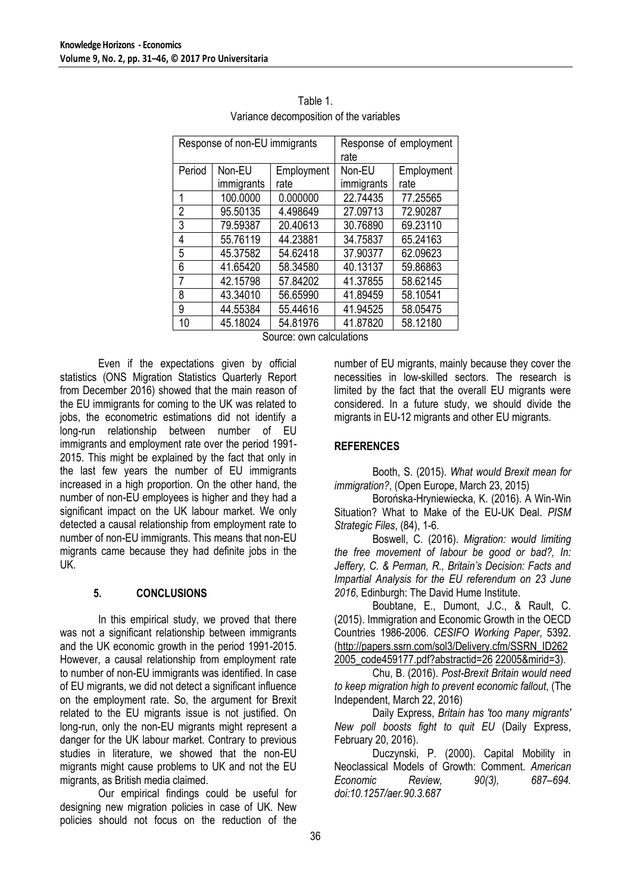| Response of non-EU immigrants |            |            | Response of employment<br>rate |          |  |
|-------------------------------|------------|------------|--------------------------------|----------|--|
| Period                        | Non-EU     | Employment | Employment<br>Non-EU           |          |  |
|                               | immigrants | rate       | immigrants                     | rate     |  |
| 1                             | 100.0000   | 0.000000   | 22.74435                       | 77.25565 |  |
| $\overline{2}$                | 95.50135   | 4.498649   | 27.09713                       | 72.90287 |  |
| 3                             | 79.59387   | 20.40613   | 30.76890                       | 69.23110 |  |
| 4                             | 55.76119   | 44.23881   | 34.75837                       | 65.24163 |  |
| 5                             | 45.37582   | 54.62418   | 37.90377                       | 62.09623 |  |
| 6                             | 41.65420   | 58.34580   | 40.13137                       | 59.86863 |  |
| 7                             | 42.15798   | 57.84202   | 41.37855                       | 58.62145 |  |
| 8                             | 43.34010   | 56.65990   | 41.89459                       | 58.10541 |  |
| 9                             | 44.55384   | 55.44616   | 41.94525                       | 58.05475 |  |
| 10                            | 45.18024   | 54.81976   | 41.87820                       | 58.12180 |  |

Table 1. Variance decomposition of the variables

Source: own calculations

Even if the expectations given by official statistics (ONS Migration Statistics Quarterly Report from December 2016) showed that the main reason of the EU immigrants for coming to the UK was related to jobs, the econometric estimations did not identify a long-run relationship between number of EU immigrants and employment rate over the period 1991- 2015. This might be explained by the fact that only in the last few years the number of EU immigrants increased in a high proportion. On the other hand, the number of non-EU employees is higher and they had a significant impact on the UK labour market. We only detected a causal relationship from employment rate to number of non-EU immigrants. This means that non-EU migrants came because they had definite jobs in the UK.

#### **5. CONCLUSIONS**

In this empirical study, we proved that there was not a significant relationship between immigrants and the UK economic growth in the period 1991-2015. However, a causal relationship from employment rate to number of non-EU immigrants was identified. In case of EU migrants, we did not detect a significant influence on the employment rate. So, the argument for Brexit related to the EU migrants issue is not justified. On long-run, only the non-EU migrants might represent a danger for the UK labour market. Contrary to previous studies in literature, we showed that the non-EU migrants might cause problems to UK and not the EU migrants, as British media claimed.

Our empirical findings could be useful for designing new migration policies in case of UK. New policies should not focus on the reduction of the number of EU migrants, mainly because they cover the necessities in low-skilled sectors. The research is limited by the fact that the overall EU migrants were considered. In a future study, we should divide the migrants in EU-12 migrants and other EU migrants.

## **REFERENCES**

Booth, S. (2015). *What would Brexit mean for immigration?*, (Open Europe, March 23, 2015)

Borońska-Hryniewiecka, K. (2016). A Win-Win Situation? What to Make of the EU-UK Deal. *PISM Strategic Files*, (84), 1-6.

Boswell, C. (2016). *Migration: would limiting the free movement of labour be good or bad?, In: Jeffery, C. & Perman, R., Britain's Decision: Facts and Impartial Analysis for the EU referendum on 23 June 2016*, Edinburgh: The David Hume Institute.

Boubtane, E., Dumont, J.C., & Rault, C. (2015). Immigration and Economic Growth in the OECD Countries 1986-2006. *CESIFO Working Paper*, 5392. (http://papers.ssrn.com/sol3/Delivery.cfm/SSRN\_ID262 2005\_code459177.pdf?abstractid=26 22005&mirid=3).

Chu, B. (2016). *Post-Brexit Britain would need to keep migration high to prevent economic fallout*, (The Independent, March 22, 2016)

Daily Express, *Britain has 'too many migrants' New poll boosts fight to quit EU* (Daily Express, February 20, 2016).

Duczynski, P. (2000). Capital Mobility in Neoclassical Models of Growth: Comment. *American Economic Review, 90(3), 687–694. doi:10.1257/aer.90.3.687*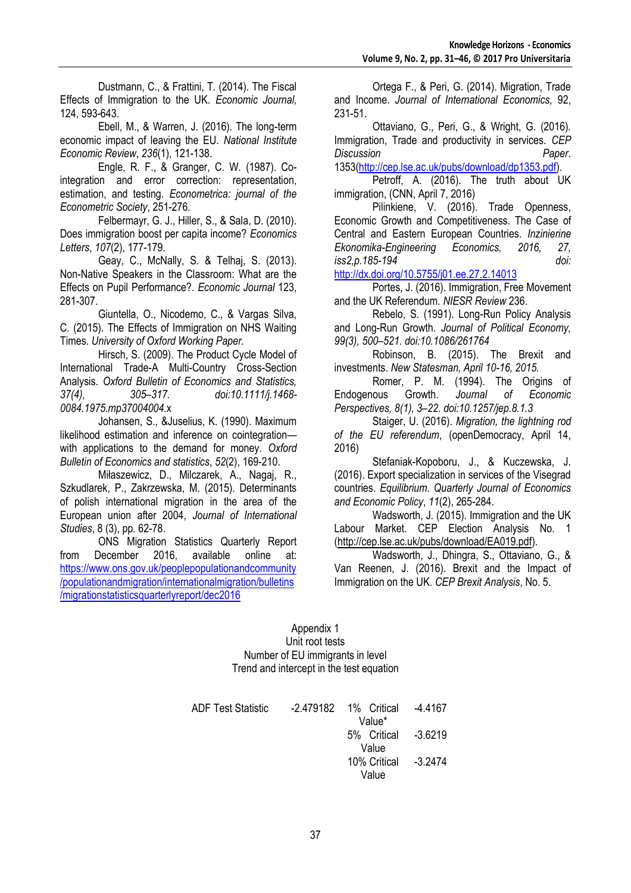Dustmann, C., & Frattini, T. (2014). The Fiscal Effects of Immigration to the UK. *Economic Journal,*  124, 593-643.

Ebell, M., & Warren, J. (2016). The long-term economic impact of leaving the EU. *National Institute Economic Review*, *236*(1), 121-138.

Engle, R. F., & Granger, C. W. (1987). Cointegration and error correction: representation, estimation, and testing. *Econometrica: journal of the Econometric Society*, 251-276.

Felbermayr, G. J., Hiller, S., & Sala, D. (2010). Does immigration boost per capita income? *Economics Letters*, *107*(2), 177-179.

Geay, C., McNally, S. & Telhaj, S. (2013). Non-Native Speakers in the Classroom: What are the Effects on Pupil Performance?. *Economic Journal* 123, 281-307.

Giuntella, O., Nicodemo, C., & Vargas Silva, C. (2015). The Effects of Immigration on NHS Waiting Times. *University of Oxford Working Paper.*

Hirsch, S. (2009). The Product Cycle Model of International Trade-A Multi-Country Cross-Section Analysis. *Oxford Bulletin of Economics and Statistics, 37(4), 305–317. doi:10.1111/j.1468- 0084.1975.mp37004004.*x

Johansen, S., &Juselius, K. (1990). Maximum likelihood estimation and inference on cointegration with applications to the demand for money. *Oxford Bulletin of Economics and statistics*, *52*(2), 169-210.

Miłaszewicz, D., Milczarek, A., Nagaj, R., Szkudlarek, P., Zakrzewska, M. (2015). Determinants of polish international migration in the area of the European union after 2004, *Journal of International Studies*, 8 (3), pp. 62-78.

ONS Migration Statistics Quarterly Report from December 2016, available online at: [https://www.ons.gov.uk/peoplepopulationandcommunity](https://www.ons.gov.uk/peoplepopulationandcommunity/populationandmigration/internationalmigration/bulletins/migrationstatisticsquarterlyreport/dec2016) [/populationandmigration/internationalmigration/bulletins](https://www.ons.gov.uk/peoplepopulationandcommunity/populationandmigration/internationalmigration/bulletins/migrationstatisticsquarterlyreport/dec2016) [/migrationstatisticsquarterlyreport/dec2016](https://www.ons.gov.uk/peoplepopulationandcommunity/populationandmigration/internationalmigration/bulletins/migrationstatisticsquarterlyreport/dec2016)

Ortega F., & Peri, G. (2014). Migration, Trade and Income. *Journal of International Economics,* 92, 231-51.

Ottaviano, G., Peri, G., & Wright, G. (2016). Immigration, Trade and productivity in services. *CEP Discussion Paper*.

1353[\(http://cep.lse.ac.uk/pubs/download/dp1353.pdf\)](http://cep.lse.ac.uk/pubs/download/dp1353.pdf). Petroff, A. (2016). The truth about UK

immigration, (CNN, April 7, 2016)

Pilinkiene, V. (2016). Trade Openness, Economic Growth and Competitiveness. The Case of Central and Eastern European Countries*. Inzinierine Ekonomika-Engineering Economics, 2016, 27, iss2,p.185-194 doi:*

<http://dx.doi.org/10.5755/j01.ee.27.2.14013>

Portes, J. (2016). Immigration, Free Movement and the UK Referendum. *NIESR Review* 236.

Rebelo, S. (1991). Long-Run Policy Analysis and Long-Run Growth. *Journal of Political Economy, 99(3), 500–521. doi:10.1086/261764*

Robinson, B. (2015). The Brexit and investments. *New Statesman, April 10-16, 2015.*

Romer, P. M. (1994). The Origins of Endogenous Growth. *Journal of Economic Perspectives, 8(1), 3–22. doi:10.1257/jep.8.1.3*

Staiger, U. (2016). *Migration, the lightning rod of the EU referendum*, (openDemocracy, April 14, 2016)

Stefaniak-Kopoboru, J., & Kuczewska, J. (2016). Export specialization in services of the Visegrad countries. *Equilibrium. Quarterly Journal of Economics and Economic Policy*, *11*(2), 265-284.

Wadsworth, J. (2015). Immigration and the UK Labour Market. CEP Election Analysis No. 1 (http://cep.lse.ac.uk/pubs/download/EA019.pdf).

Wadsworth, J., Dhingra, S., Ottaviano, G., & Van Reenen, J. (2016). Brexit and the Impact of Immigration on the UK. *CEP Brexit Analysis*, No. 5.

Appendix 1 Unit root tests Number of EU immigrants in level Trend and intercept in the test equation

| <b>ADF Test Statistic</b> |                               | -4.4167   |
|---------------------------|-------------------------------|-----------|
|                           | Value*<br>5% Critical -3.6219 |           |
|                           | Value                         |           |
|                           | 10% Critical                  | $-3.2474$ |
|                           | Value                         |           |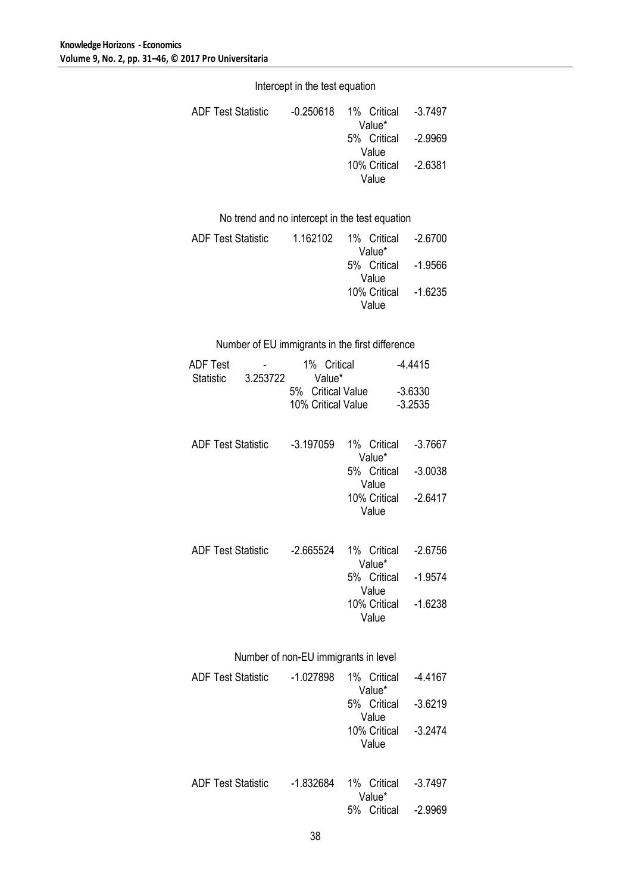Intercept in the test equation

| <b>ADF Test Statistic</b> | -0.250618  1%  Critical | -3.7497 |
|---------------------------|-------------------------|---------|
|                           | Value*                  |         |
|                           | 5% Critical -2.9969     |         |
|                           | Value                   |         |
|                           | 10% Critical - 2.6381   |         |
|                           | Value                   |         |

No trend and no intercept in the test equation

| <b>ADF Test Statistic</b> | 1.162102 1% Critical -2.6700 |  |
|---------------------------|------------------------------|--|
|                           | Value*                       |  |
|                           | 5% Critical - 1.9566         |  |
|                           | Value                        |  |
|                           | 10% Critical -1.6235         |  |
|                           | Value                        |  |

## Number of EU immigrants in the first difference

| ADF Test<br><b>Statistic</b> | 3.253722                             | 5% Critical Value<br>10% Critical Value | 1% Critical<br>Value* |  |                                                                                | $-4.4415$<br>$-3.6330$<br>$-3.2535$ |                        |
|------------------------------|--------------------------------------|-----------------------------------------|-----------------------|--|--------------------------------------------------------------------------------|-------------------------------------|------------------------|
| <b>ADF Test Statistic</b>    |                                      | $-3.197059$                             |                       |  | 1% Critical<br>Value*<br>5% Critical -3.0038                                   |                                     | $-3.7667$              |
|                              |                                      |                                         |                       |  | Value<br>10% Critical -2.6417<br>Value                                         |                                     |                        |
| <b>ADF Test Statistic</b>    |                                      | -2.665524                               |                       |  | 1% Critical<br>Value*<br>5% Critical<br>Value<br>10% Critical -1.6238<br>Value |                                     | $-2.6756$<br>$-1.9574$ |
| ADE Taat Ctatiatia           | Number of non-EU immigrants in level |                                         |                       |  |                                                                                |                                     |                        |

| <b>ADF Test Statistic</b> | $-1.027898$ | 1% Critical<br>Value* | -4.4167   |
|---------------------------|-------------|-----------------------|-----------|
|                           |             | 5% Critical<br>Value  | $-3.6219$ |
|                           |             | 10% Critical<br>Value | $-3.2474$ |
| <b>ADF Test Statistic</b> | $-1.832684$ | 1% Critical<br>Value* | $-3.7497$ |
|                           |             | Critical<br>5%        | -2 9969   |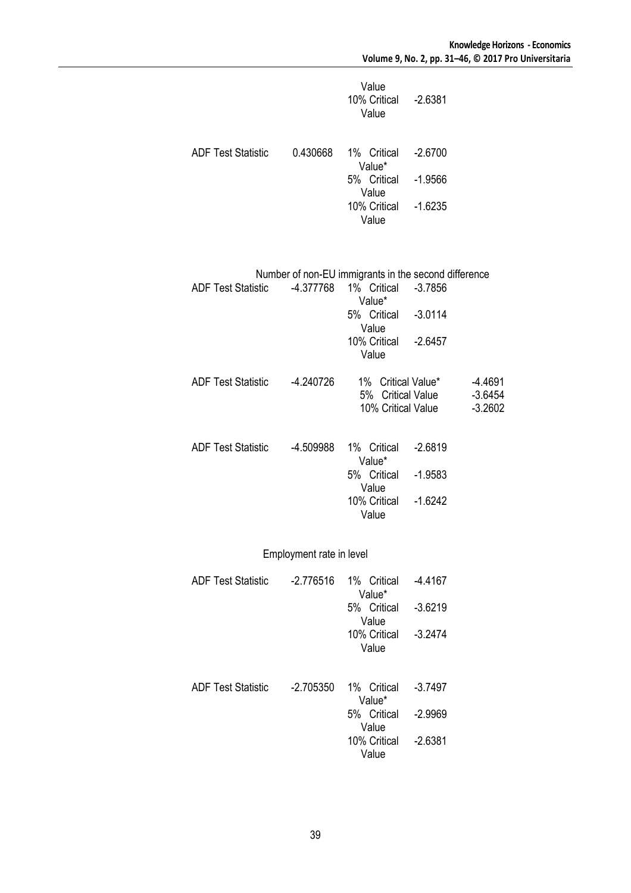|                             |                          | Value<br>10% Critical -2.6381<br>Value                                                |                        |                                     |
|-----------------------------|--------------------------|---------------------------------------------------------------------------------------|------------------------|-------------------------------------|
| ADF Test Statistic 0.430668 |                          | 1% Critical<br>Value*<br>5% Critical<br>Value                                         | $-2.6700$<br>$-1.9566$ |                                     |
|                             |                          | 10% Critical<br>Value                                                                 | $-1.6235$              |                                     |
| ADF Test Statistic 4.377768 |                          | Number of non-EU immigrants in the second difference<br>1% Critical -3.7856<br>Value* |                        |                                     |
|                             |                          | 5% Critical -3.0114<br>Value                                                          |                        |                                     |
|                             |                          | 10% Critical -2.6457<br>Value                                                         |                        |                                     |
| ADF Test Statistic 4.240726 |                          | 1% Critical Value*<br>5% Critical Value<br>10% Critical Value                         |                        | $-4.4691$<br>$-3.6454$<br>$-3.2602$ |
| ADF Test Statistic 4.509988 |                          | 1% Critical<br>Value*                                                                 | $-2.6819$              |                                     |
|                             |                          | 5% Critical<br>Value                                                                  | $-1.9583$              |                                     |
|                             |                          | 10% Critical -1.6242<br>Value                                                         |                        |                                     |
|                             | Employment rate in level |                                                                                       |                        |                                     |
| <b>ADF Test Statistic</b>   | $-2.776516$              | 1% Critical<br>Value*                                                                 | $-4.4167$              |                                     |
|                             |                          | 5% Critical<br>Value                                                                  | $-3.6219$              |                                     |
|                             |                          | 10% Critical<br>Value                                                                 | $-3.2474$              |                                     |
| <b>ADF Test Statistic</b>   | $-2.705350$              | 1% Critical<br>Value*                                                                 | $-3.7497$              |                                     |
|                             |                          | 5% Critical<br>Value                                                                  | $-2.9969$              |                                     |
|                             |                          | 10% Critical<br>Value                                                                 | $-2.6381$              |                                     |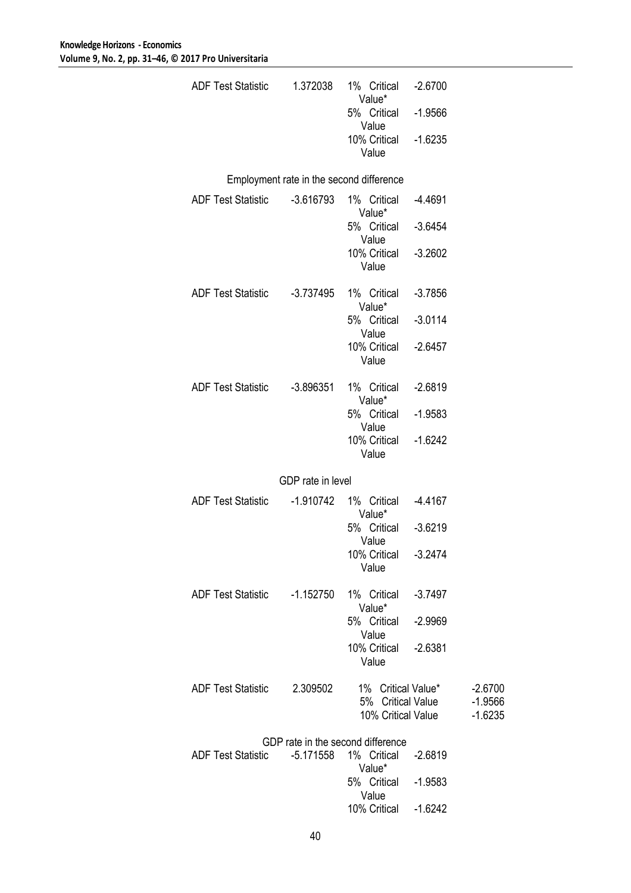| ADF Test Statistic           | 1.372038          | 1% Critical<br>Value*<br>5% Critical     | $-2.6700$<br>$-1.9566$ |                        |
|------------------------------|-------------------|------------------------------------------|------------------------|------------------------|
|                              |                   | Value<br>10% Critical                    | $-1.6235$              |                        |
|                              |                   | Value                                    |                        |                        |
|                              |                   | Employment rate in the second difference |                        |                        |
| ADF Test Statistic -3.616793 |                   | 1% Critical<br>Value*                    | -4.4691                |                        |
|                              |                   | 5% Critical                              | $-3.6454$              |                        |
|                              |                   | Value<br>10% Critical<br>Value           | $-3.2602$              |                        |
| ADF Test Statistic -3.737495 |                   | 1% Critical<br>Value*                    | $-3.7856$              |                        |
|                              |                   | 5% Critical                              | $-3.0114$              |                        |
|                              |                   | Value<br>10% Critical<br>Value           | $-2.6457$              |                        |
| <b>ADF Test Statistic</b>    | -3.896351         | 1% Critical                              | $-2.6819$              |                        |
|                              |                   | Value*<br>5% Critical                    | $-1.9583$              |                        |
|                              |                   | Value<br>10% Critical<br>Value           | $-1.6242$              |                        |
|                              | GDP rate in level |                                          |                        |                        |
| <b>ADF Test Statistic</b>    | -1.910742         | 1% Critical                              | $-4.4167$              |                        |
|                              |                   | Value*<br>5% Critical                    | $-3.6219$              |                        |
|                              |                   | Value<br>10% Critical                    | $-3.2474$              |                        |
|                              |                   | Value                                    |                        |                        |
| ADF Test Statistic -1.152750 |                   | 1% Critical<br>Value*                    | $-3.7497$              |                        |
|                              |                   | 5% Critical<br>Value                     | $-2.9969$              |                        |
|                              |                   | 10% Critical<br>Value                    | $-2.6381$              |                        |
| <b>ADF Test Statistic</b>    | 2.309502          | 1% Critical Value*                       |                        | $-2.6700$              |
|                              |                   | 5% Critical Value<br>10% Critical Value  |                        | $-1.9566$<br>$-1.6235$ |
|                              |                   | GDP rate in the second difference        |                        |                        |
| <b>ADF Test Statistic</b>    | -5.171558         | 1% Critical<br>Value*                    | $-2.6819$              |                        |
|                              |                   | 5% Critical                              | $-1.9583$              |                        |
|                              |                   | Value<br>10% Critical                    | $-1.6242$              |                        |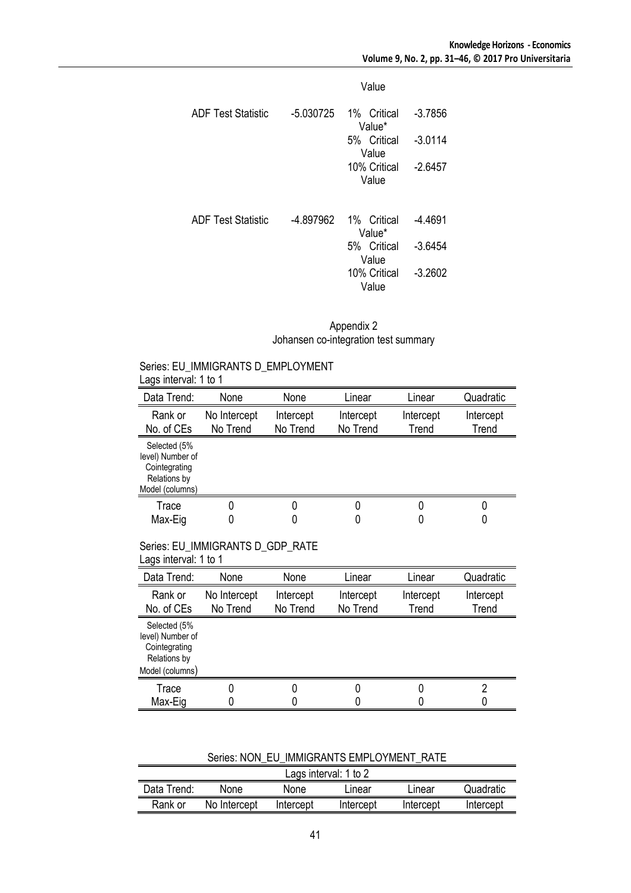|                           |             | Value                 |           |
|---------------------------|-------------|-----------------------|-----------|
| <b>ADF Test Statistic</b> | $-5.030725$ | 1% Critical<br>Value* | $-3.7856$ |
|                           |             | 5% Critical<br>Value  | $-3.0114$ |
|                           |             | 10% Critical<br>Value | $-2.6457$ |
| <b>ADF Test Statistic</b> | -4.897962   | 1% Critical<br>Value* | -4.4691   |
|                           |             | 5% Critical<br>Value  | $-3.6454$ |
|                           |             | 10% Critical<br>Value | $-3.2602$ |

Appendix 2 Johansen co-integration test summary

#### Series: EU\_IMMIGRANTS D\_EMPLOYMENT Lags interval: 1 to 1

| Data Trend:                                                                          | None                     | None                  | Linear                | Linear             | Quadratic          |
|--------------------------------------------------------------------------------------|--------------------------|-----------------------|-----------------------|--------------------|--------------------|
| Rank or<br>No. of CEs                                                                | No Intercept<br>No Trend | Intercept<br>No Trend | Intercept<br>No Trend | Intercept<br>Trend | Intercept<br>Trend |
| Selected (5%<br>level) Number of<br>Cointegrating<br>Relations by<br>Model (columns) |                          |                       |                       |                    |                    |
| Trace<br>Max-Eig                                                                     | 0<br>0                   |                       |                       | 0                  |                    |

### Series: EU\_IMMIGRANTS D\_GDP\_RATE Lags interval: 1 to 1

| Data Trend:                                                                          | None                     | None                  | Linear                | Linear             | Quadratic          |
|--------------------------------------------------------------------------------------|--------------------------|-----------------------|-----------------------|--------------------|--------------------|
| Rank or<br>No. of CEs                                                                | No Intercept<br>No Trend | Intercept<br>No Trend | Intercept<br>No Trend | Intercept<br>Trend | Intercept<br>Trend |
| Selected (5%<br>level) Number of<br>Cointegrating<br>Relations by<br>Model (columns) |                          |                       |                       |                    |                    |
| Trace                                                                                |                          |                       |                       |                    |                    |
| Max-Eig                                                                              |                          |                       |                       |                    |                    |

Series: NON\_EU\_IMMIGRANTS EMPLOYMENT\_RATE

| Lags interval: 1 to 2 |              |           |           |           |           |
|-----------------------|--------------|-----------|-----------|-----------|-----------|
| Data Trend:           | None         | None      | Linear    | Linear    | Quadratic |
| Rank or               | No Intercept | Intercept | Intercept | Intercept | Intercept |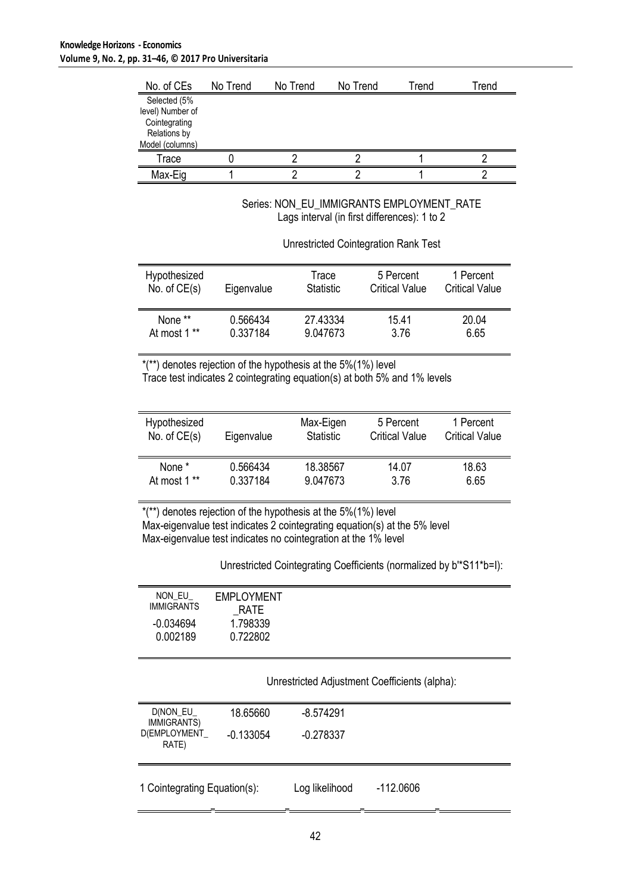$\overline{a}$ 

| No. of CEs                      | No Trend | No Trend | No Trend | Trend | Trend |
|---------------------------------|----------|----------|----------|-------|-------|
| Selected (5%                    |          |          |          |       |       |
| level) Number of                |          |          |          |       |       |
| Cointegrating                   |          |          |          |       |       |
| Relations by<br>Model (columns) |          |          |          |       |       |
| Trace                           |          |          |          |       |       |
| Max-Eig                         |          |          |          |       |       |

Series: NON\_EU\_IMMIGRANTS EMPLOYMENT\_RATE Lags interval (in first differences): 1 to 2

Unrestricted Cointegration Rank Test

| Hypothesized   | Eigenvalue | Trace            | 5 Percent             | 1 Percent             |
|----------------|------------|------------------|-----------------------|-----------------------|
| No. of $CE(s)$ |            | <b>Statistic</b> | <b>Critical Value</b> | <b>Critical Value</b> |
| None **        | 0.566434   | 27.43334         | 15.41                 | 20.04                 |
| At most 1 **   | 0.337184   | 9.047673         | 3.76                  | 6.65                  |

\*(\*\*) denotes rejection of the hypothesis at the 5%(1%) level Trace test indicates 2 cointegrating equation(s) at both 5% and 1% levels

| Hypothesized   | Eigenvalue | Max-Eigen        | 5 Percent             | 1 Percent             |
|----------------|------------|------------------|-----------------------|-----------------------|
| No. of $CE(s)$ |            | <b>Statistic</b> | <b>Critical Value</b> | <b>Critical Value</b> |
| None *         | 0.566434   | 18.38567         | 14.07                 | 18.63                 |
| At most 1 **   | 0.337184   | 9.047673         | 3.76                  | 6.65                  |

\*(\*\*) denotes rejection of the hypothesis at the 5%(1%) level Max-eigenvalue test indicates 2 cointegrating equation(s) at the 5% level Max-eigenvalue test indicates no cointegration at the 1% level

Unrestricted Cointegrating Coefficients (normalized by b'\*S11\*b=I):

| NON EU            | <b>EMPLOYMENT</b> |
|-------------------|-------------------|
| <b>IMMIGRANTS</b> |                   |
|                   | <b>RATE</b>       |
|                   |                   |
| $-0.034694$       | 1.798339          |
|                   |                   |
| 0.002189          | 0.722802          |
|                   |                   |
|                   |                   |

Unrestricted Adjustment Coefficients (alpha):

| D(NON_EU_<br><b>IMMIGRANTS)</b> | 18.65660    | $-8.574291$    |             |  |
|---------------------------------|-------------|----------------|-------------|--|
| D(EMPLOYMENT<br>RATE)           | $-0.133054$ | $-0.278337$    |             |  |
| 1 Cointegrating Equation(s):    |             | Log likelihood | $-112.0606$ |  |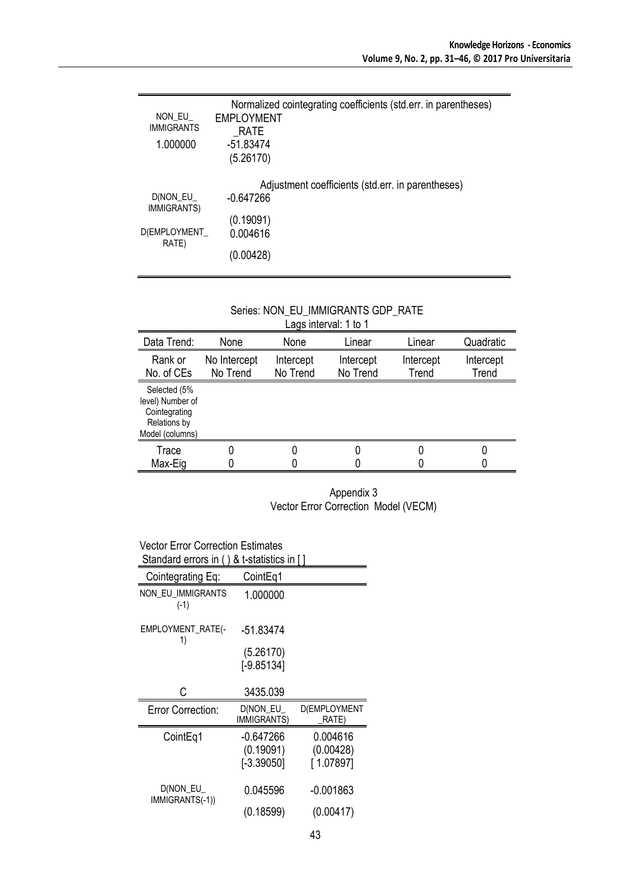| NON EU<br><b>IMMIGRANTS</b><br>1.000000 | Normalized cointegrating coefficients (std.err. in parentheses)<br>EMPLOYMENT<br>RATE<br>-51.83474<br>(5.26170) |
|-----------------------------------------|-----------------------------------------------------------------------------------------------------------------|
| D(NON EU                                | Adjustment coefficients (std.err. in parentheses)<br>$-0.647266$                                                |
| <b>IMMIGRANTS)</b><br>D(EMPLOYMENT      | (0.19091)<br>0.004616                                                                                           |
| RATE)                                   | (0.00428)                                                                                                       |

## Series: NON\_EU\_IMMIGRANTS GDP\_RATE

| Lags interval: 1 to 1                                                                |                          |                       |                       |                    |                    |
|--------------------------------------------------------------------------------------|--------------------------|-----------------------|-----------------------|--------------------|--------------------|
| Data Trend:                                                                          | None                     | None                  | Linear                | Linear             | Quadratic          |
| Rank or<br>No. of CEs                                                                | No Intercept<br>No Trend | Intercept<br>No Trend | Intercept<br>No Trend | Intercept<br>Trend | Intercept<br>Trend |
| Selected (5%<br>level) Number of<br>Cointegrating<br>Relations by<br>Model (columns) |                          |                       |                       |                    |                    |
| Trace                                                                                |                          |                       |                       |                    |                    |
| Max-Eig                                                                              |                          |                       |                       |                    |                    |

### Appendix 3 Vector Error Correction Model (VECM)

#### Vector Error Correction Estimates Standard errors in ( ) & t-statistics in [ ]

| olanuaru <del>c</del> hurs in<br>α ι-οιαιιοιινο ιπ |                                |                       |  |  |  |
|----------------------------------------------------|--------------------------------|-----------------------|--|--|--|
| Cointegrating Eq:                                  | CointEq1                       |                       |  |  |  |
| NON EU IMMIGRANTS<br>$(-1)$                        | 1.000000                       |                       |  |  |  |
| EMPLOYMENT_RATE(-<br>1)                            | -51.83474                      |                       |  |  |  |
|                                                    | (5.26170)                      |                       |  |  |  |
|                                                    | $[-9.85134]$                   |                       |  |  |  |
|                                                    |                                |                       |  |  |  |
| С                                                  | 3435.039                       |                       |  |  |  |
| Error Correction:                                  | D(NON EU<br><b>IMMIGRANTS)</b> | D(EMPLOYMENT<br>RATE) |  |  |  |
| CointEq1                                           | -0.647266                      | 0.004616              |  |  |  |
|                                                    | (0.19091)                      | (0.00428)             |  |  |  |
|                                                    | $[-3.39050]$                   | [1.07897]             |  |  |  |
|                                                    |                                |                       |  |  |  |
| D(NON_EU_<br>IMMIGRANTS(-1))                       | 0.045596                       | -0.001863             |  |  |  |
|                                                    | (0.18599)                      | (0.00417)             |  |  |  |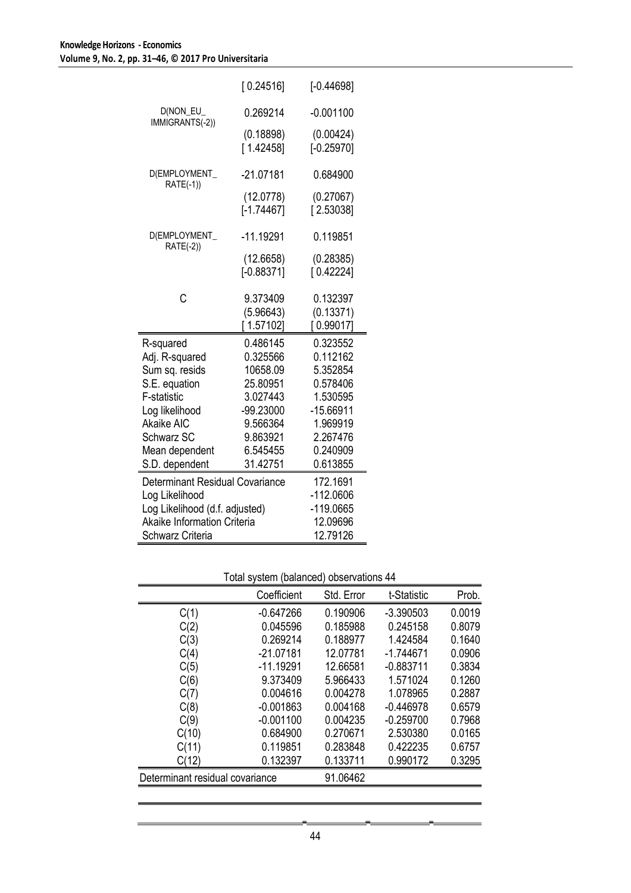|                                    | [0.24516]                 | $[-0.44698]$              |
|------------------------------------|---------------------------|---------------------------|
| D(NON_EU_<br>IMMIGRANTS(-2))       | 0.269214                  | $-0.001100$               |
|                                    | (0.18898)<br>[1.42458]    | (0.00424)<br>$[-0.25970]$ |
| D(EMPLOYMENT_<br>RATE(-1))         | $-21.07181$               | 0.684900                  |
|                                    | (12.0778)<br>$[-1.74467]$ | (0.27067)<br>[2.53038]    |
| D(EMPLOYMENT_<br>RATE(-2))         | $-11.19291$               | 0.119851                  |
|                                    | (12.6658)<br>$[-0.88371]$ | (0.28385)<br>[0.42224]    |
| Ć                                  | 9.373409                  | 0.132397                  |
|                                    | (5.96643)<br>[1.57102]    | (0.13371)<br>[0.99017]    |
| R-squared                          | 0.486145                  | 0.323552                  |
| Adj. R-squared                     | 0.325566                  | 0.112162                  |
| Sum sq. resids                     | 10658.09                  | 5.352854                  |
| S.E. equation                      | 25.80951                  | 0.578406                  |
| F-statistic                        | 3.027443                  | 1.530595                  |
| Log likelihood                     | -99.23000                 | -15.66911                 |
| <b>Akaike AIC</b>                  | 9.566364                  | 1.969919                  |
| Schwarz SC                         | 9.863921                  | 2.267476                  |
| Mean dependent<br>S.D. dependent   | 6.545455<br>31.42751      | 0.240909<br>0.613855      |
|                                    |                           |                           |
| Determinant Residual Covariance    | 172.1691                  |                           |
| Log Likelihood                     | $-112.0606$               |                           |
| Log Likelihood (d.f. adjusted)     |                           | -119.0665                 |
| <b>Akaike Information Criteria</b> |                           | 12.09696                  |
| Schwarz Criteria                   | 12.79126                  |                           |

## Total system (balanced) observations 44

|                                 | Coefficient | Std. Error | t-Statistic | Prob.  |
|---------------------------------|-------------|------------|-------------|--------|
| C(1)                            | -0.647266   | 0.190906   | $-3.390503$ | 0.0019 |
| C(2)                            | 0.045596    | 0.185988   | 0.245158    | 0.8079 |
| C(3)                            | 0.269214    | 0.188977   | 1.424584    | 0.1640 |
| C(4)                            | $-21.07181$ | 12.07781   | $-1.744671$ | 0.0906 |
| C(5)                            | $-11.19291$ | 12.66581   | $-0.883711$ | 0.3834 |
| C(6)                            | 9.373409    | 5.966433   | 1.571024    | 0.1260 |
| C(7)                            | 0.004616    | 0.004278   | 1.078965    | 0.2887 |
| C(8)                            | $-0.001863$ | 0.004168   | $-0.446978$ | 0.6579 |
| C(9)                            | $-0.001100$ | 0.004235   | $-0.259700$ | 0.7968 |
| C(10)                           | 0.684900    | 0.270671   | 2.530380    | 0.0165 |
| C(11)                           | 0.119851    | 0.283848   | 0.422235    | 0.6757 |
| C(12)                           | 0.132397    | 0.133711   | 0.990172    | 0.3295 |
| Determinant residual covariance |             | 91.06462   |             |        |
|                                 |             |            |             |        |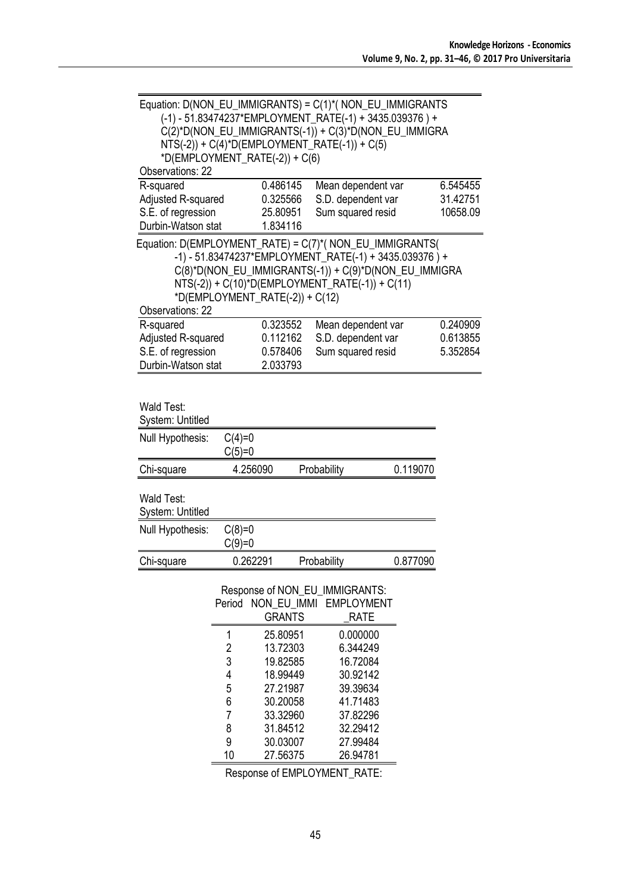| Equation: D(NON_EU_IMMIGRANTS) = C(1)*( NON_EU_IMMIGRANTS<br>*D(EMPLOYMENT_RATE(-2)) + C(6) |                                    |                                              | (-1) - 51.83474237*EMPLOYMENT_RATE(-1) + 3435.039376) +<br>C(2)*D(NON_EU_IMMIGRANTS(-1)) + C(3)*D(NON_EU_IMMIGRA<br>$NTS(-2)) + C(4)^*D(EMPLOYMENT_RATE(-1)) + C(5)$  |          |                                  |
|---------------------------------------------------------------------------------------------|------------------------------------|----------------------------------------------|-----------------------------------------------------------------------------------------------------------------------------------------------------------------------|----------|----------------------------------|
| <b>Observations: 22</b>                                                                     |                                    |                                              |                                                                                                                                                                       |          |                                  |
| R-squared<br>Adjusted R-squared<br>S.E. of regression<br>Durbin-Watson stat                 |                                    | 0.486145<br>0.325566<br>25.80951<br>1.834116 | Mean dependent var<br>S.D. dependent var<br>Sum squared resid                                                                                                         |          | 6.545455<br>31.42751<br>10658.09 |
| Equation: D(EMPLOYMENT_RATE) = C(7)*( NON_EU_IMMIGRANTS(<br>Observations: 22                |                                    | *D(EMPLOYMENT_RATE(-2)) + $C(12)$            | -1) - 51.83474237*EMPLOYMENT_RATE(-1) + 3435.039376) +<br>C(8)*D(NON_EU_IMMIGRANTS(-1)) + C(9)*D(NON_EU_IMMIGRA<br>$NTS(-2)) + C(10)^*D(EMPLOYMENT_RATE(-1)) + C(11)$ |          |                                  |
| R-squared<br>Adjusted R-squared<br>S.E. of regression<br>Durbin-Watson stat                 |                                    | 0.323552<br>0.112162<br>0.578406<br>2.033793 | Mean dependent var<br>S.D. dependent var<br>Sum squared resid                                                                                                         |          | 0.240909<br>0.613855<br>5.352854 |
| Wald Test:<br>System: Untitled<br>Null Hypothesis:                                          | $C(4)=0$<br>$C(5)=0$               |                                              |                                                                                                                                                                       |          |                                  |
| Chi-square                                                                                  | 4.256090                           |                                              | Probability                                                                                                                                                           | 0.119070 |                                  |
| Wald Test:<br><b>System: Untitled</b><br>Null Hypothesis:                                   | $C(8)=0$                           |                                              |                                                                                                                                                                       |          |                                  |
|                                                                                             | $C(9)=0$                           |                                              |                                                                                                                                                                       |          |                                  |
| Chi-square                                                                                  | 0.262291                           |                                              | Probability                                                                                                                                                           | 0.877090 |                                  |
|                                                                                             | Period                             | NON_EU_IMMI<br><b>GRANTS</b>                 | Response of NON_EU_IMMIGRANTS:<br><b>EMPLOYMENT</b><br><b>RATE</b>                                                                                                    |          |                                  |
|                                                                                             | 1<br>$\overline{\mathbf{c}}$<br>3  | 25.80951<br>13.72303<br>19.82585             | 0.000000<br>6.344249<br>16.72084                                                                                                                                      |          |                                  |
|                                                                                             | $\overline{\mathcal{A}}$<br>5<br>6 | 18.99449<br>27.21987<br>30.20058             | 30.92142<br>39.39634<br>41.71483                                                                                                                                      |          |                                  |
|                                                                                             | 7<br>8                             | 33.32960<br>31.84512                         | 37.82296<br>32.29412                                                                                                                                                  |          |                                  |
|                                                                                             | 9<br>10                            | 30.03007<br>27.56375                         | 27.99484<br>26.94781                                                                                                                                                  |          |                                  |

Response of EMPLOYMENT\_RATE: